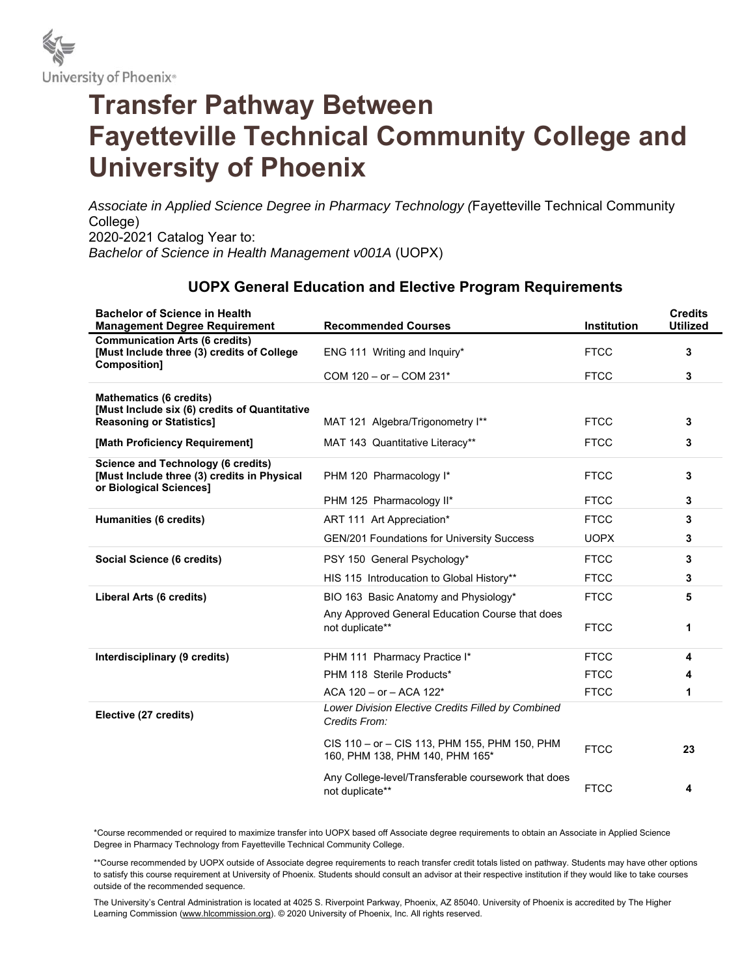

## **Transfer Pathway Between Fayetteville Technical Community College and University of Phoenix**

*Associate in Applied Science Degree in Pharmacy Technology (*Fayetteville Technical Community College) 2020-2021 Catalog Year to: *Bachelor of Science in Health Management v001A* (UOPX)

## **UOPX General Education and Elective Program Requirements**

| <b>Bachelor of Science in Health</b><br><b>Management Degree Requirement</b>                                        | <b>Recommended Courses</b>                                                       | <b>Institution</b> | <b>Credits</b><br><b>Utilized</b> |
|---------------------------------------------------------------------------------------------------------------------|----------------------------------------------------------------------------------|--------------------|-----------------------------------|
| <b>Communication Arts (6 credits)</b><br>[Must Include three (3) credits of College<br>Composition]                 | ENG 111 Writing and Inquiry*                                                     | <b>FTCC</b>        | 3                                 |
|                                                                                                                     | COM $120 - or - COM 231*$                                                        | <b>FTCC</b>        | 3                                 |
| <b>Mathematics (6 credits)</b>                                                                                      |                                                                                  |                    |                                   |
| [Must Include six (6) credits of Quantitative<br><b>Reasoning or Statistics]</b>                                    | MAT 121 Algebra/Trigonometry I**                                                 | <b>FTCC</b>        | 3                                 |
| [Math Proficiency Requirement]                                                                                      | MAT 143 Quantitative Literacy**                                                  | <b>FTCC</b>        | 3                                 |
| <b>Science and Technology (6 credits)</b><br>[Must Include three (3) credits in Physical<br>or Biological Sciences] | PHM 120 Pharmacology I*                                                          | <b>FTCC</b>        | 3                                 |
|                                                                                                                     | PHM 125 Pharmacology II*                                                         | <b>FTCC</b>        | 3                                 |
| Humanities (6 credits)                                                                                              | ART 111 Art Appreciation*                                                        | <b>FTCC</b>        | 3                                 |
|                                                                                                                     | <b>GEN/201 Foundations for University Success</b>                                | <b>UOPX</b>        | 3                                 |
| Social Science (6 credits)                                                                                          | PSY 150 General Psychology*                                                      | <b>FTCC</b>        | 3                                 |
|                                                                                                                     | HIS 115 Introducation to Global History**                                        | <b>FTCC</b>        | 3                                 |
| Liberal Arts (6 credits)                                                                                            | BIO 163 Basic Anatomy and Physiology*                                            | <b>FTCC</b>        | 5                                 |
|                                                                                                                     | Any Approved General Education Course that does<br>not duplicate**               | <b>FTCC</b>        | 1                                 |
| Interdisciplinary (9 credits)                                                                                       | PHM 111 Pharmacy Practice I*                                                     | <b>FTCC</b>        | 4                                 |
|                                                                                                                     | PHM 118 Sterile Products*                                                        | <b>FTCC</b>        | 4                                 |
|                                                                                                                     | ACA $120 - or - ACA$ $122*$                                                      | <b>FTCC</b>        | 1                                 |
| Elective (27 credits)                                                                                               | Lower Division Elective Credits Filled by Combined<br>Credits From:              |                    |                                   |
|                                                                                                                     | CIS 110 - or - CIS 113, PHM 155, PHM 150, PHM<br>160, PHM 138, PHM 140, PHM 165* | <b>FTCC</b>        | 23                                |
|                                                                                                                     | Any College-level/Transferable coursework that does<br>not duplicate**           | <b>FTCC</b>        | 4                                 |

\*Course recommended or required to maximize transfer into UOPX based off Associate degree requirements to obtain an Associate in Applied Science Degree in Pharmacy Technology from Fayetteville Technical Community College.

\*\*Course recommended by UOPX outside of Associate degree requirements to reach transfer credit totals listed on pathway. Students may have other options to satisfy this course requirement at University of Phoenix. Students should consult an advisor at their respective institution if they would like to take courses outside of the recommended sequence.

The University's Central Administration is located at 4025 S. Riverpoint Parkway, Phoenix, AZ 85040. University of Phoenix is accredited by The Higher Learning Commission (www.hlcommission.org). © 2020 University of Phoenix, Inc. All rights reserved.